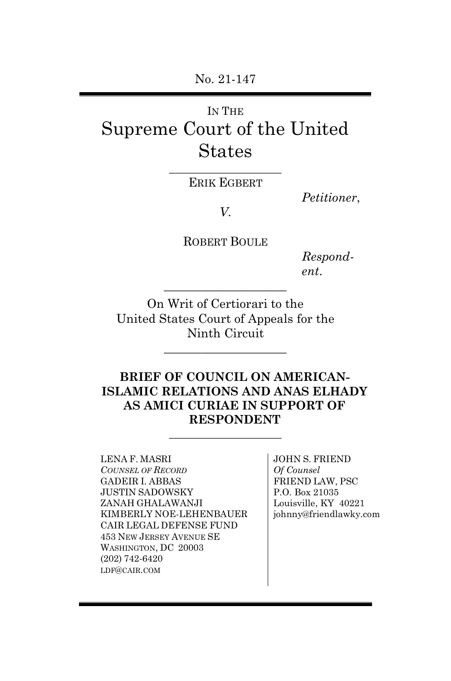No. 21-147

# IN THE Supreme Court of the United States

\_\_\_\_\_\_\_\_\_\_\_\_\_\_\_\_\_\_\_\_ ERIK EGBERT

*Petitioner*,

*V*.

ROBERT BOULE

*Respondent*.

On Writ of Certiorari to the United States Court of Appeals for the Ninth Circuit

 $\overline{\phantom{a}}$  , where  $\overline{\phantom{a}}$ 

 $\overline{\phantom{a}}$  , where  $\overline{\phantom{a}}$ 

### **BRIEF OF COUNCIL ON AMERICAN-ISLAMIC RELATIONS AND ANAS ELHADY AS AMICI CURIAE IN SUPPORT OF RESPONDENT**

 $\_$ 

LENA F. MASRI *COUNSEL OF RECORD* GADEIR I. ABBAS JUSTIN SADOWSKY ZANAH GHALAWANJI KIMBERLY NOE-LEHENBAUER CAIR LEGAL DEFENSE FUND 453 NEW JERSEY AVENUE SE WASHINGTON, DC 20003 (202) 742-6420 LDF@CAIR.COM

JOHN S. FRIEND *Of Counsel* FRIEND LAW, PSC P.O. Box 21035 Louisville, KY 40221 johnny@friendlawky.com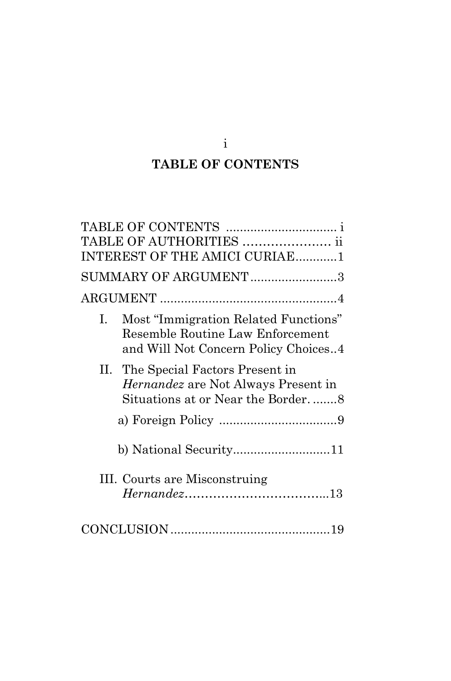# **TABLE OF CONTENTS**

i

|    | TABLE OF AUTHORITIES  ii                                                                                          |
|----|-------------------------------------------------------------------------------------------------------------------|
|    | INTEREST OF THE AMICI CURIAE1                                                                                     |
|    | SUMMARY OF ARGUMENT3                                                                                              |
|    |                                                                                                                   |
| 1. | Most "Immigration Related Functions"<br>Resemble Routine Law Enforcement<br>and Will Not Concern Policy Choices4  |
| Н. | The Special Factors Present in<br><i>Hernandez</i> are Not Always Present in<br>Situations at or Near the Border8 |
|    |                                                                                                                   |
|    |                                                                                                                   |
|    | III. Courts are Misconstruing                                                                                     |
|    |                                                                                                                   |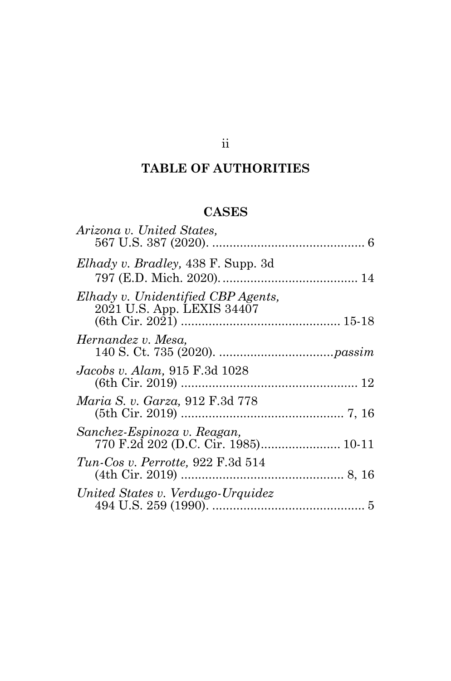# ii

# **TABLE OF AUTHORITIES**

# **CASES**

| Arizona v. United States,                                        |  |
|------------------------------------------------------------------|--|
| <i>Elhady v. Bradley</i> , 438 F. Supp. 3d                       |  |
| Elhady v. Unidentified CBP Agents,<br>2021 U.S. App. LEXIS 34407 |  |
| Hernandez v. Mesa,                                               |  |
| <i>Jacobs v. Alam,</i> 915 F.3d 1028                             |  |
| Maria S. v. Garza, 912 F.3d 778                                  |  |
| Sanchez-Espinoza v. Reagan,                                      |  |
| $Tun-Cos v. Perrotte, 922 F.3d 514$                              |  |
| United States v. Verdugo-Urquidez                                |  |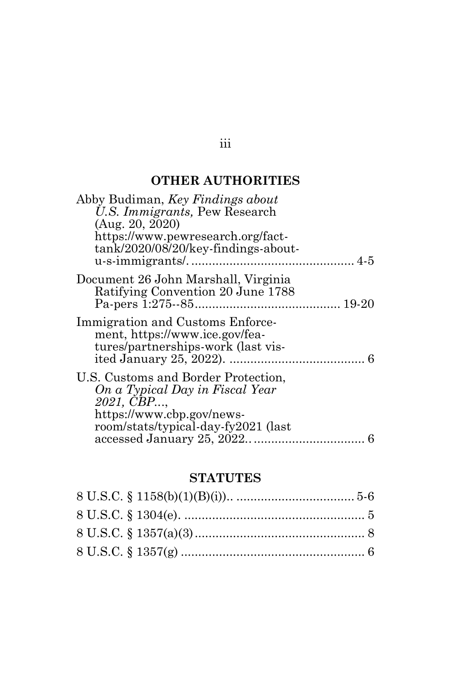## **OTHER AUTHORITIES**

| Abby Budiman, Key Findings about<br>U.S. Immigrants, Pew Research<br>(Aug. 20, 2020)<br>https://www.pewresearch.org/fact-<br>tank/2020/08/20/key-findings-about- |  |
|------------------------------------------------------------------------------------------------------------------------------------------------------------------|--|
| Document 26 John Marshall, Virginia<br>Ratifying Convention 20 June 1788                                                                                         |  |
| Immigration and Customs Enforce-<br>ment, https://www.ice.gov/fea-<br>tures/partnerships-work (last vis-                                                         |  |
| U.S. Customs and Border Protection,<br>On a Typical Day in Fiscal Year<br>2021, CBP,<br>https://www.cbp.gov/news-<br>room/stats/typical-day-fy2021 (last         |  |

### **STATUTES**

### iii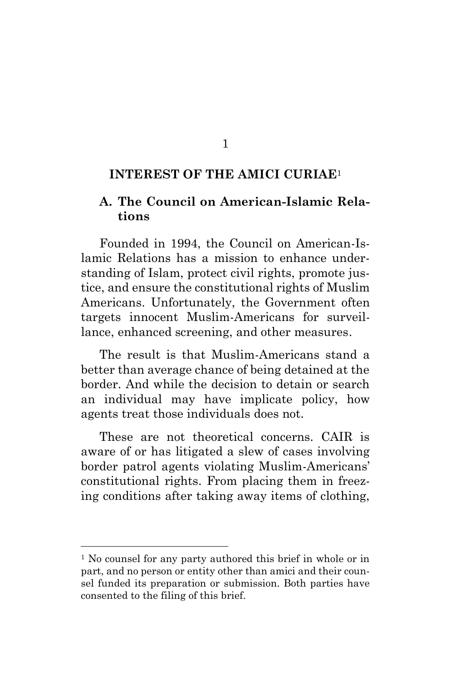#### 1

#### <span id="page-4-0"></span>**INTEREST OF THE AMICI CURIAE**<sup>1</sup>

### **A. The Council on American-Islamic Relations**

Founded in 1994, the Council on American-Islamic Relations has a mission to enhance understanding of Islam, protect civil rights, promote justice, and ensure the constitutional rights of Muslim Americans. Unfortunately, the Government often targets innocent Muslim-Americans for surveillance, enhanced screening, and other measures.

The result is that Muslim-Americans stand a better than average chance of being detained at the border. And while the decision to detain or search an individual may have implicate policy, how agents treat those individuals does not.

These are not theoretical concerns. CAIR is aware of or has litigated a slew of cases involving border patrol agents violating Muslim-Americans' constitutional rights. From placing them in freezing conditions after taking away items of clothing,

<sup>&</sup>lt;sup>1</sup> No counsel for any party authored this brief in whole or in part, and no person or entity other than amici and their counsel funded its preparation or submission. Both parties have consented to the filing of this brief.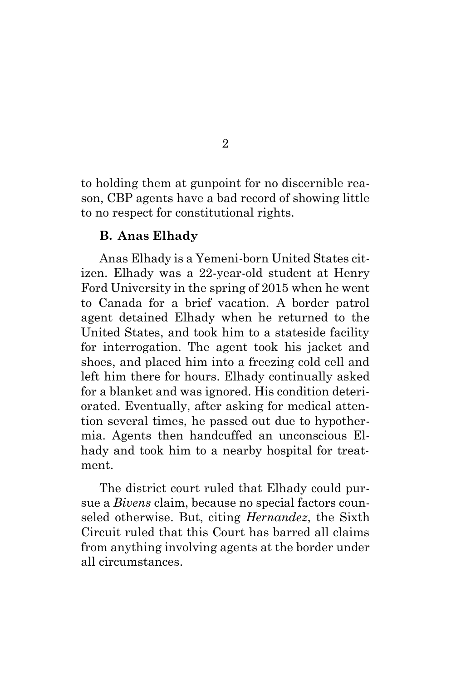to holding them at gunpoint for no discernible reason, CBP agents have a bad record of showing little to no respect for constitutional rights.

### **B. Anas Elhady**

Anas Elhady is a Yemeni-born United States citizen. Elhady was a 22-year-old student at Henry Ford University in the spring of 2015 when he went to Canada for a brief vacation. A border patrol agent detained Elhady when he returned to the United States, and took him to a stateside facility for interrogation. The agent took his jacket and shoes, and placed him into a freezing cold cell and left him there for hours. Elhady continually asked for a blanket and was ignored. His condition deteriorated. Eventually, after asking for medical attention several times, he passed out due to hypothermia. Agents then handcuffed an unconscious Elhady and took him to a nearby hospital for treatment.

The district court ruled that Elhady could pursue a *Bivens* claim, because no special factors counseled otherwise. But, citing *Hernandez*, the Sixth Circuit ruled that this Court has barred all claims from anything involving agents at the border under all circumstances.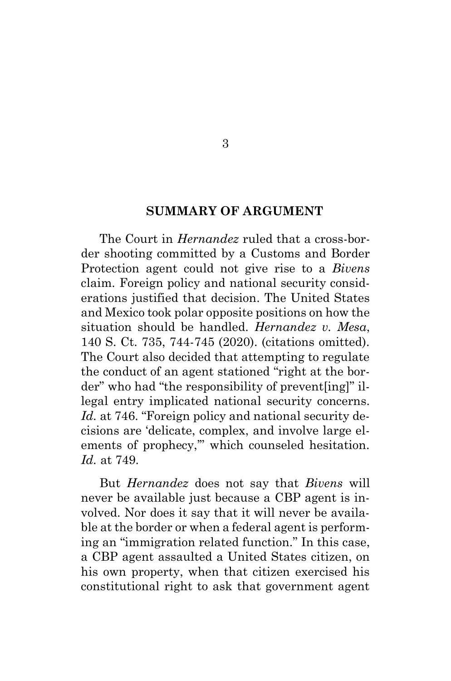#### **SUMMARY OF ARGUMENT**

3

<span id="page-6-0"></span>The Court in *Hernandez* ruled that a cross-border shooting committed by a Customs and Border Protection agent could not give rise to a *Bivens* claim. Foreign policy and national security considerations justified that decision. The United States and Mexico took polar opposite positions on how the situation should be handled. *Hernandez v. Mesa*, 140 S. Ct. 735, 744-745 (2020). (citations omitted). The Court also decided that attempting to regulate the conduct of an agent stationed "right at the border" who had "the responsibility of prevent[ing]" illegal entry implicated national security concerns. Id. at 746. "Foreign policy and national security decisions are 'delicate, complex, and involve large elements of prophecy,'" which counseled hesitation. *Id.* at 749.

But *Hernandez* does not say that *Bivens* will never be available just because a CBP agent is involved. Nor does it say that it will never be available at the border or when a federal agent is performing an "immigration related function." In this case, a CBP agent assaulted a United States citizen, on his own property, when that citizen exercised his constitutional right to ask that government agent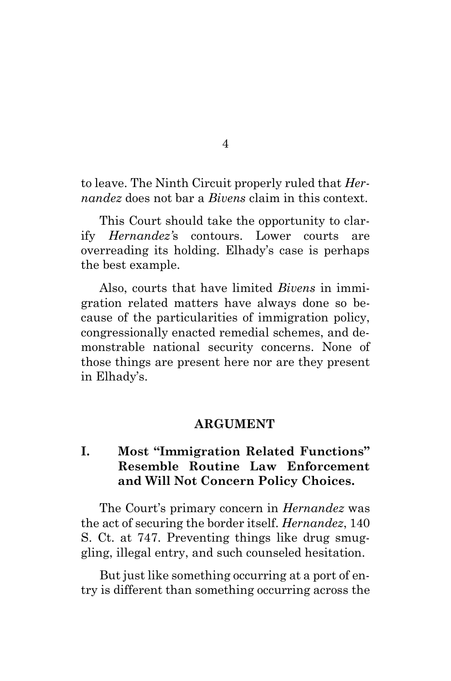to leave. The Ninth Circuit properly ruled that *Hernandez* does not bar a *Bivens* claim in this context.

This Court should take the opportunity to clarify *Hernandez'*s contours. Lower courts are overreading its holding. Elhady's case is perhaps the best example.

Also, courts that have limited *Bivens* in immigration related matters have always done so because of the particularities of immigration policy, congressionally enacted remedial schemes, and demonstrable national security concerns. None of those things are present here nor are they present in Elhady's.

#### **ARGUMENT**

### <span id="page-7-0"></span>**I. Most "Immigration Related Functions" Resemble Routine Law Enforcement and Will Not Concern Policy Choices.**

The Court's primary concern in *Hernandez* was the act of securing the border itself. *Hernandez*, 140 S. Ct. at 747. Preventing things like drug smuggling, illegal entry, and such counseled hesitation.

But just like something occurring at a port of entry is different than something occurring across the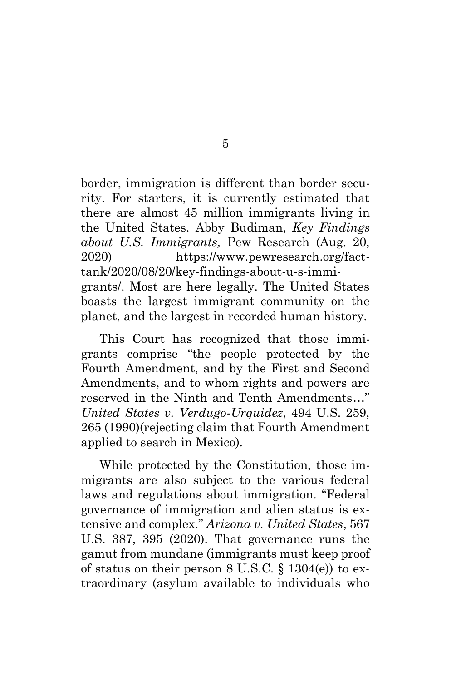border, immigration is different than border security. For starters, it is currently estimated that there are almost 45 million immigrants living in the United States. Abby Budiman, *Key Findings about U.S. Immigrants,* Pew Research (Aug. 20, 2020) [https://www.pewresearch.org/fact](https://www.pewresearch.org/fact-tank/2020/08/20/key-findings-about-u-s-immigrants/)[tank/2020/08/20/key-findings-about-u-s-immi](https://www.pewresearch.org/fact-tank/2020/08/20/key-findings-about-u-s-immigrants/)[grants/.](https://www.pewresearch.org/fact-tank/2020/08/20/key-findings-about-u-s-immigrants/) Most are here legally. The United States boasts the largest immigrant community on the planet, and the largest in recorded human history.

This Court has recognized that those immigrants comprise "the people protected by the Fourth Amendment, and by the First and Second Amendments, and to whom rights and powers are reserved in the Ninth and Tenth Amendments..." *United States v. Verdugo-Urquidez*, 494 U.S. 259, 265 (1990)(rejecting claim that Fourth Amendment applied to search in Mexico).

While protected by the Constitution, those immigrants are also subject to the various federal laws and regulations about immigration. "Federal governance of immigration and alien status is extensive and complex." *Arizona v. United States*, 567 U.S. 387, 395 (2020). That governance runs the gamut from mundane (immigrants must keep proof of status on their person  $8 \text{ U.S.C. } \S 1304(e)$  to extraordinary (asylum available to individuals who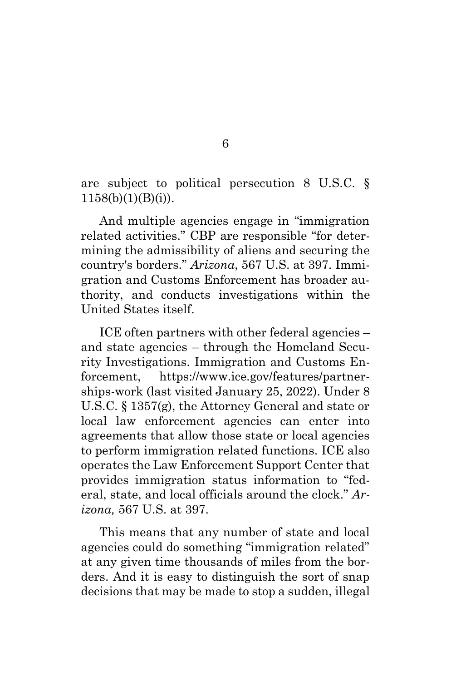are subject to political persecution 8 U.S.C. §  $1158(b)(1)(B)(i)$ .

And multiple agencies engage in "immigration related activities." CBP are responsible "for determining the admissibility of aliens and securing the country's borders." *Arizona*, 567 U.S. at 397. Immigration and Customs Enforcement has broader authority, and conducts investigations within the United States itself.

ICE often partners with other federal agencies – and state agencies – through the Homeland Security Investigations. Immigration and Customs Enforcement, [https://www.ice.gov/features/partner](https://www.ice.gov/features/partnerships-work)[ships-work](https://www.ice.gov/features/partnerships-work) (last visited January 25, 2022). Under 8 U.S.C. § 1357(g), the Attorney General and state or local law enforcement agencies can enter into agreements that allow those state or local agencies to perform immigration related functions. ICE also operates the Law Enforcement Support Center that provides immigration status information to "federal, state, and local officials around the clock." *Arizona,* 567 U.S. at 397.

This means that any number of state and local agencies could do something "immigration related" at any given time thousands of miles from the borders. And it is easy to distinguish the sort of snap decisions that may be made to stop a sudden, illegal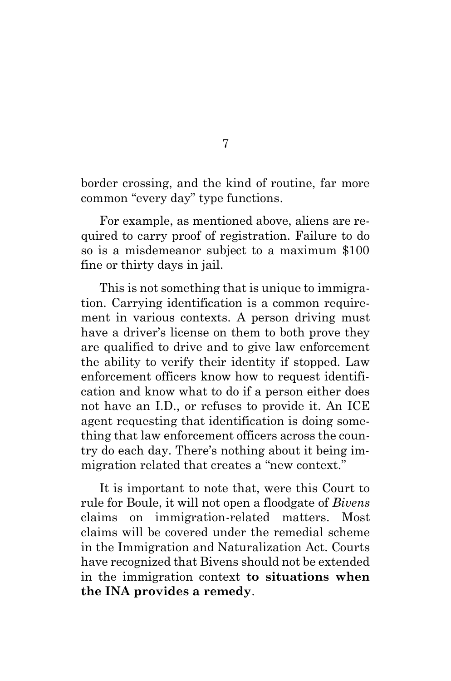border crossing, and the kind of routine, far more common "every day" type functions.

For example, as mentioned above, aliens are required to carry proof of registration. Failure to do so is a misdemeanor subject to a maximum \$100 fine or thirty days in jail.

This is not something that is unique to immigration. Carrying identification is a common requirement in various contexts. A person driving must have a driver's license on them to both prove they are qualified to drive and to give law enforcement the ability to verify their identity if stopped. Law enforcement officers know how to request identification and know what to do if a person either does not have an I.D., or refuses to provide it. An ICE agent requesting that identification is doing something that law enforcement officers across the country do each day. There's nothing about it being immigration related that creates a "new context."

It is important to note that, were this Court to rule for Boule, it will not open a floodgate of *Bivens* claims on immigration-related matters. Most claims will be covered under the remedial scheme in the Immigration and Naturalization Act. Courts have recognized that Bivens should not be extended in the immigration context **to situations when the INA provides a remedy**.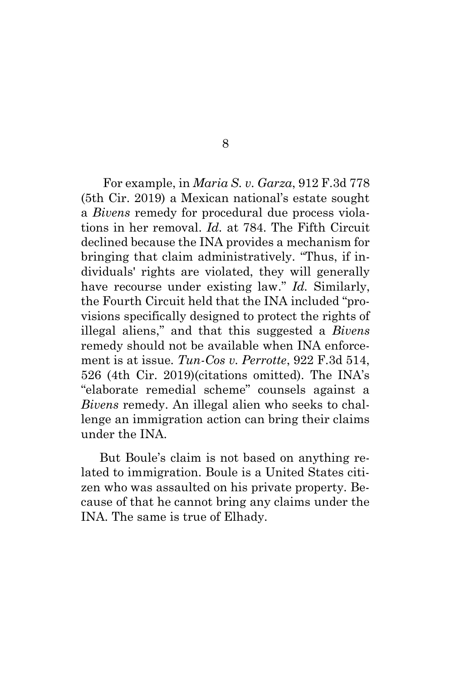For example, in *Maria S. v. Garza*, 912 F.3d 778 (5th Cir. 2019) a Mexican national's estate sought a *Bivens* remedy for procedural due process violations in her removal. *Id.* at 784. The Fifth Circuit declined because the INA provides a mechanism for bringing that claim administratively. "Thus, if individuals' rights are violated, they will generally have recourse under existing law." *Id.* Similarly, the Fourth Circuit held that the INA included "provisions specifically designed to protect the rights of illegal aliens," and that this suggested a *Bivens*  remedy should not be available when INA enforcement is at issue. *Tun-Cos v. Perrotte*, 922 F.3d 514, 526 (4th Cir. 2019)(citations omitted). The INA's "elaborate remedial scheme" counsels against a *Bivens* remedy. An illegal alien who seeks to challenge an immigration action can bring their claims under the INA.

But Boule's claim is not based on anything related to immigration. Boule is a United States citizen who was assaulted on his private property. Because of that he cannot bring any claims under the INA. The same is true of Elhady.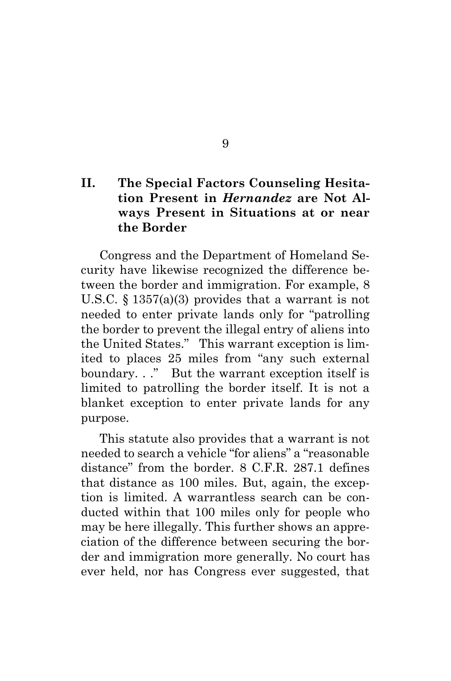### **II. The Special Factors Counseling Hesitation Present in** *Hernandez* **are Not Always Present in Situations at or near the Border**

Congress and the Department of Homeland Security have likewise recognized the difference between the border and immigration. For example, 8 U.S.C. § 1357(a)(3) provides that a warrant is not needed to enter private lands only for "patrolling the border to prevent the illegal entry of aliens into the United States." This warrant exception is limited to places 25 miles from "any such external boundary. . ." But the warrant exception itself is limited to patrolling the border itself. It is not a blanket exception to enter private lands for any purpose.

This statute also provides that a warrant is not needed to search a vehicle "for aliens" a "reasonable distance" from the border. 8 C.F.R. 287.1 defines that distance as 100 miles. But, again, the exception is limited. A warrantless search can be conducted within that 100 miles only for people who may be here illegally. This further shows an appreciation of the difference between securing the border and immigration more generally. No court has ever held, nor has Congress ever suggested, that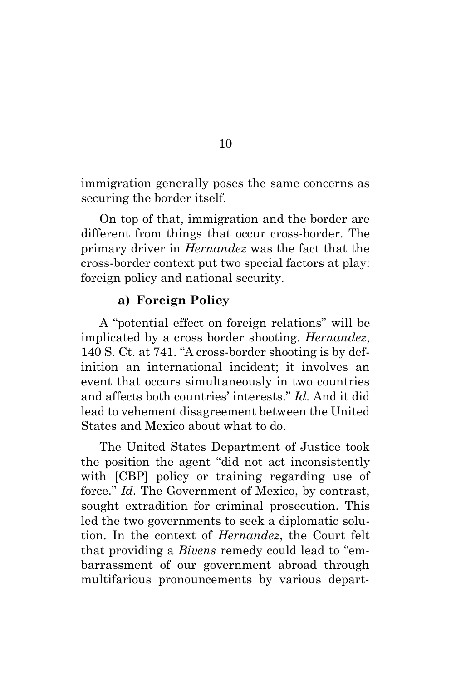immigration generally poses the same concerns as securing the border itself.

On top of that, immigration and the border are different from things that occur cross-border. The primary driver in *Hernandez* was the fact that the cross-border context put two special factors at play: foreign policy and national security.

### **a) Foreign Policy**

A "potential effect on foreign relations" will be implicated by a cross border shooting. *Hernandez*, 140 S. Ct. at 741. "A cross-border shooting is by definition an international incident; it involves an event that occurs simultaneously in two countries and affects both countries' interests." *Id.* And it did lead to vehement disagreement between the United States and Mexico about what to do.

The United States Department of Justice took the position the agent "did not act inconsistently with [CBP] policy or training regarding use of force." *Id.* The Government of Mexico, by contrast, sought extradition for criminal prosecution. This led the two governments to seek a diplomatic solution. In the context of *Hernandez*, the Court felt that providing a *Bivens* remedy could lead to "embarrassment of our government abroad through multifarious pronouncements by various depart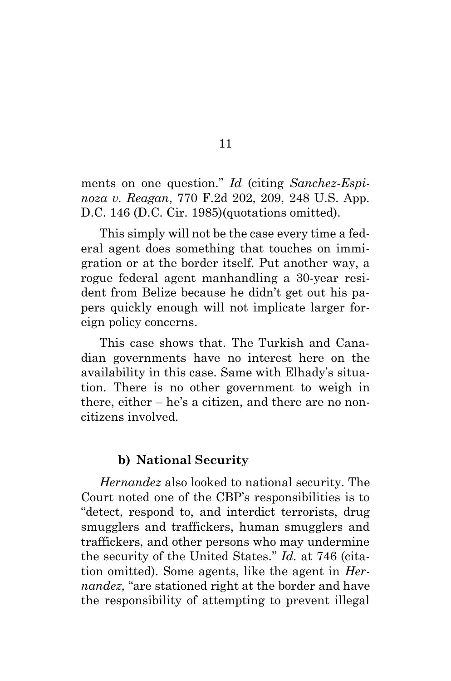ments on one question." *Id* (citing *Sanchez-Espinoza v. Reagan*, 770 F.2d 202, 209, 248 U.S. App. D.C. 146 (D.C. Cir. 1985)(quotations omitted).

This simply will not be the case every time a federal agent does something that touches on immigration or at the border itself. Put another way, a rogue federal agent manhandling a 30-year resident from Belize because he didn't get out his papers quickly enough will not implicate larger foreign policy concerns.

This case shows that. The Turkish and Canadian governments have no interest here on the availability in this case. Same with Elhady's situation. There is no other government to weigh in there, either – he's a citizen, and there are no noncitizens involved.

### **b) National Security**

*Hernandez* also looked to national security. The Court noted one of the CBP's responsibilities is to "detect, respond to, and interdict terrorists, drug smugglers and traffickers, human smugglers and traffickers, and other persons who may undermine the security of the United States." *Id.* at 746 (citation omitted). Some agents, like the agent in *Hernandez,* "are stationed right at the border and have the responsibility of attempting to prevent illegal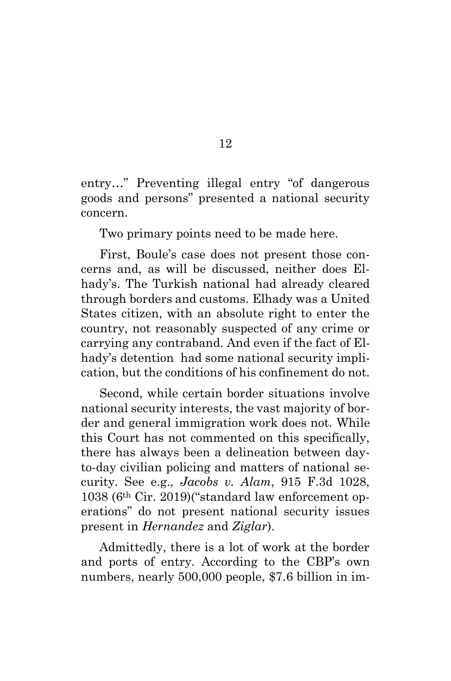entry…" Preventing illegal entry "of dangerous goods and persons" presented a national security concern.

Two primary points need to be made here.

First, Boule's case does not present those concerns and, as will be discussed, neither does Elhady's. The Turkish national had already cleared through borders and customs. Elhady was a United States citizen, with an absolute right to enter the country, not reasonably suspected of any crime or carrying any contraband. And even if the fact of Elhady's detention had some national security implication, but the conditions of his confinement do not.

Second, while certain border situations involve national security interests, the vast majority of border and general immigration work does not. While this Court has not commented on this specifically, there has always been a delineation between dayto-day civilian policing and matters of national security. See e.g., *Jacobs v. Alam*, 915 F.3d 1028, 1038 (6th Cir. 2019)("standard law enforcement operations" do not present national security issues present in *Hernandez* and *Ziglar*).

Admittedly, there is a lot of work at the border and ports of entry. According to the CBP's own numbers, nearly 500,000 people, \$7.6 billion in im-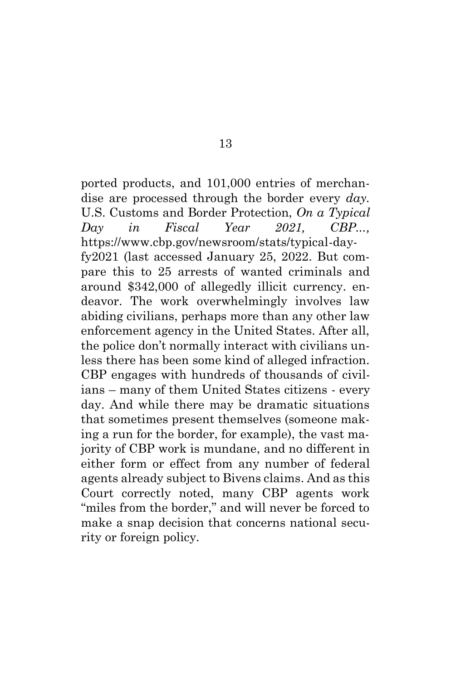ported products, and 101,000 entries of merchandise are processed through the border every *day.* U.S. Customs and Border Protection, *On a Typical Day in Fiscal Year 2021, CBP...,*  [https://www.cbp.gov/newsroom/stats/typical-day](https://www.cbp.gov/newsroom/stats/typical-day-fy2021)[fy2021](https://www.cbp.gov/newsroom/stats/typical-day-fy2021) (last accessed January 25, 2022. But compare this to 25 arrests of wanted criminals and around \$342,000 of allegedly illicit currency. endeavor. The work overwhelmingly involves law abiding civilians, perhaps more than any other law enforcement agency in the United States. After all, the police don't normally interact with civilians unless there has been some kind of alleged infraction. CBP engages with hundreds of thousands of civilians – many of them United States citizens - every day. And while there may be dramatic situations that sometimes present themselves (someone making a run for the border, for example), the vast majority of CBP work is mundane, and no different in either form or effect from any number of federal agents already subject to Bivens claims. And as this Court correctly noted, many CBP agents work "miles from the border," and will never be forced to make a snap decision that concerns national security or foreign policy.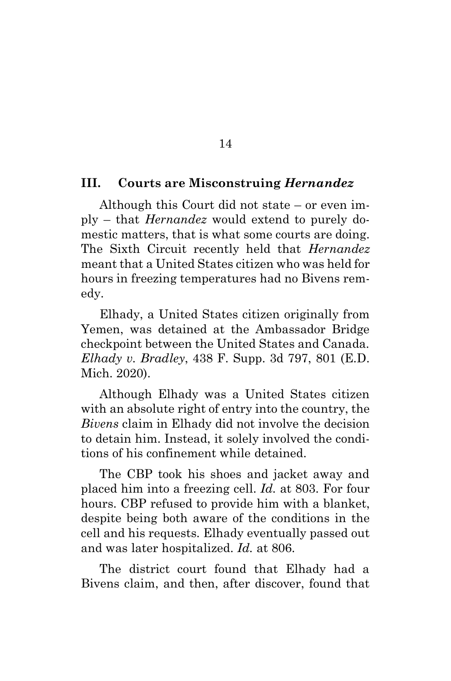### **III. Courts are Misconstruing** *Hernandez*

Although this Court did not state – or even imply – that *Hernandez* would extend to purely domestic matters, that is what some courts are doing. The Sixth Circuit recently held that *Hernandez*  meant that a United States citizen who was held for hours in freezing temperatures had no Bivens remedy.

Elhady, a United States citizen originally from Yemen, was detained at the Ambassador Bridge checkpoint between the United States and Canada. *Elhady v. Bradley*, 438 F. Supp. 3d 797, 801 (E.D. Mich. 2020).

Although Elhady was a United States citizen with an absolute right of entry into the country, the *Bivens* claim in Elhady did not involve the decision to detain him. Instead, it solely involved the conditions of his confinement while detained.

The CBP took his shoes and jacket away and placed him into a freezing cell. *Id.* at 803. For four hours. CBP refused to provide him with a blanket, despite being both aware of the conditions in the cell and his requests. Elhady eventually passed out and was later hospitalized. *Id.* at 806.

The district court found that Elhady had a Bivens claim, and then, after discover, found that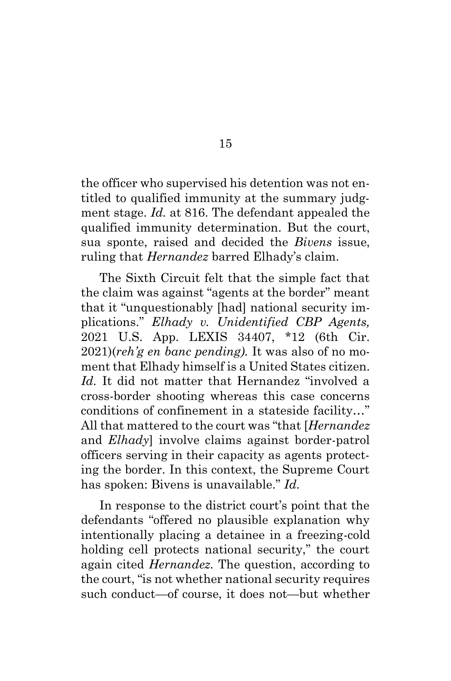the officer who supervised his detention was not entitled to qualified immunity at the summary judgment stage. *Id.* at 816. The defendant appealed the qualified immunity determination. But the court, sua sponte, raised and decided the *Bivens* issue, ruling that *Hernandez* barred Elhady's claim.

The Sixth Circuit felt that the simple fact that the claim was against "agents at the border" meant that it "unquestionably [had] national security implications." *Elhady v. Unidentified CBP Agents,*  2021 U.S. App. LEXIS 34407, \*12 (6th Cir. 2021)(*reh'g en banc pending).* It was also of no moment that Elhady himself is a United States citizen. Id. It did not matter that Hernandez "involved a cross-border shooting whereas this case concerns conditions of confinement in a stateside facility…" All that mattered to the court was "that [*Hernandez*  and *Elhady*] involve claims against border-patrol officers serving in their capacity as agents protecting the border. In this context, the Supreme Court has spoken: Bivens is unavailable." *Id.*

In response to the district court's point that the defendants "offered no plausible explanation why intentionally placing a detainee in a freezing-cold holding cell protects national security," the court again cited *Hernandez.* The question, according to the court, "is not whether national security requires such conduct—of course, it does not—but whether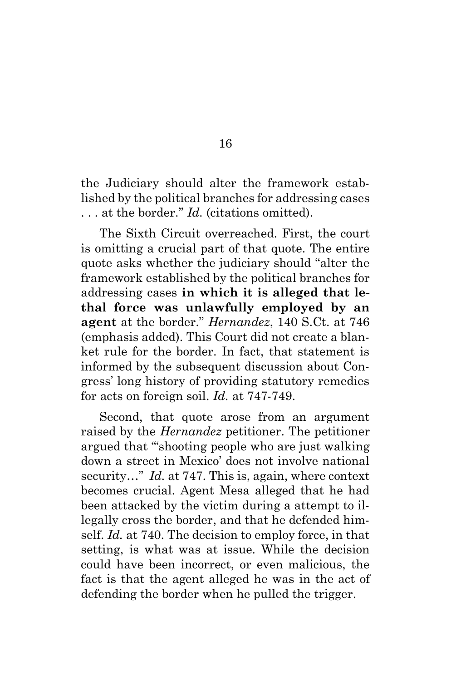the Judiciary should alter the framework established by the political branches for addressing cases . . . at the border." *Id.* (citations omitted).

The Sixth Circuit overreached. First, the court is omitting a crucial part of that quote. The entire quote asks whether the judiciary should "alter the framework established by the political branches for addressing cases **in which it is alleged that lethal force was unlawfully employed by an agent** at the border." *Hernandez*, 140 S.Ct. at 746 (emphasis added). This Court did not create a blanket rule for the border. In fact, that statement is informed by the subsequent discussion about Congress' long history of providing statutory remedies for acts on foreign soil. *Id.* at 747-749.

Second, that quote arose from an argument raised by the *Hernandez* petitioner. The petitioner argued that "'shooting people who are just walking down a street in Mexico' does not involve national security..." *Id.* at 747. This is, again, where context becomes crucial. Agent Mesa alleged that he had been attacked by the victim during a attempt to illegally cross the border, and that he defended himself. *Id.* at 740. The decision to employ force, in that setting, is what was at issue. While the decision could have been incorrect, or even malicious, the fact is that the agent alleged he was in the act of defending the border when he pulled the trigger.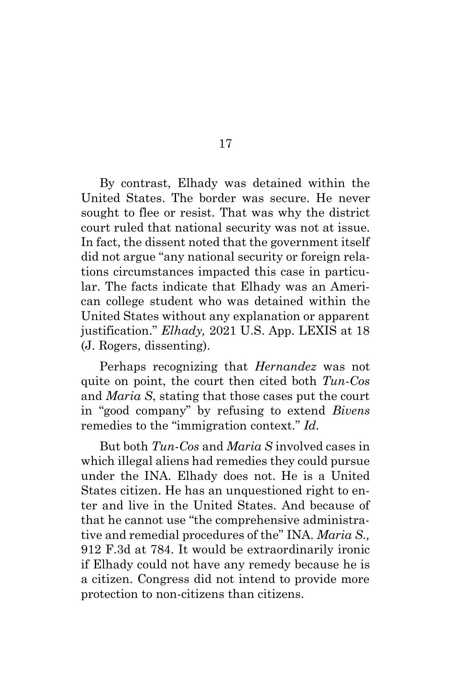By contrast, Elhady was detained within the United States. The border was secure. He never sought to flee or resist. That was why the district court ruled that national security was not at issue. In fact, the dissent noted that the government itself did not argue "any national security or foreign relations circumstances impacted this case in particular. The facts indicate that Elhady was an American college student who was detained within the United States without any explanation or apparent justification." *Elhady,* 2021 U.S. App. LEXIS at 18 (J. Rogers, dissenting).

Perhaps recognizing that *Hernandez* was not quite on point, the court then cited both *Tun-Cos*  and *Maria S*, stating that those cases put the court in "good company" by refusing to extend *Bivens*  remedies to the "immigration context." *Id.*

But both *Tun-Cos* and *Maria S* involved cases in which illegal aliens had remedies they could pursue under the INA. Elhady does not. He is a United States citizen. He has an unquestioned right to enter and live in the United States. And because of that he cannot use "the comprehensive administrative and remedial procedures of the" INA. *Maria S.,*  912 F.3d at 784. It would be extraordinarily ironic if Elhady could not have any remedy because he is a citizen. Congress did not intend to provide more protection to non-citizens than citizens.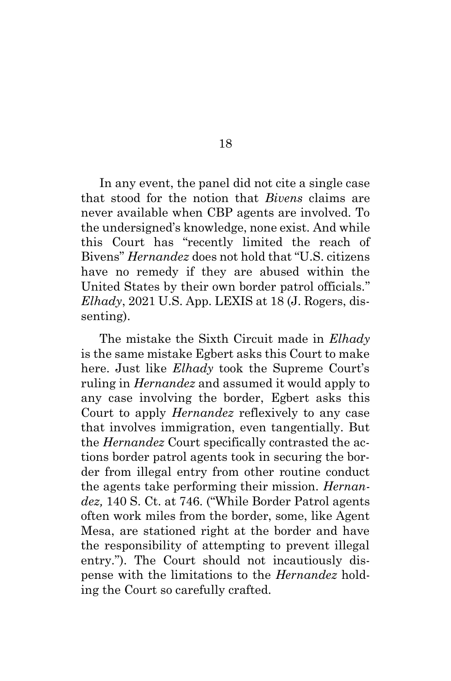In any event, the panel did not cite a single case that stood for the notion that *Bivens* claims are never available when CBP agents are involved. To the undersigned's knowledge, none exist. And while this Court has "recently limited the reach of Bivens" *Hernandez* does not hold that "U.S. citizens have no remedy if they are abused within the United States by their own border patrol officials." *Elhady*, 2021 U.S. App. LEXIS at 18 (J. Rogers, dissenting).

The mistake the Sixth Circuit made in *Elhady*  is the same mistake Egbert asks this Court to make here. Just like *Elhady* took the Supreme Court's ruling in *Hernandez* and assumed it would apply to any case involving the border, Egbert asks this Court to apply *Hernandez* reflexively to any case that involves immigration, even tangentially. But the *Hernandez* Court specifically contrasted the actions border patrol agents took in securing the border from illegal entry from other routine conduct the agents take performing their mission. *Hernandez,* 140 S. Ct. at 746. ("While Border Patrol agents often work miles from the border, some, like Agent Mesa, are stationed right at the border and have the responsibility of attempting to prevent illegal entry."). The Court should not incautiously dispense with the limitations to the *Hernandez* holding the Court so carefully crafted.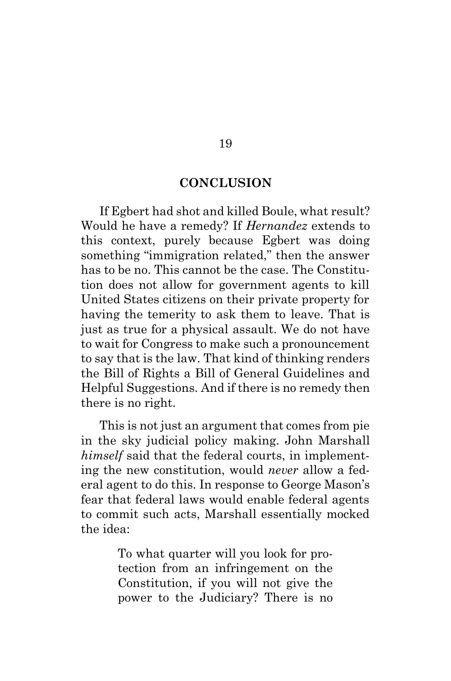#### **CONCLUSION**

<span id="page-22-0"></span>If Egbert had shot and killed Boule, what result? Would he have a remedy? If *Hernandez* extends to this context, purely because Egbert was doing something "immigration related," then the answer has to be no. This cannot be the case. The Constitution does not allow for government agents to kill United States citizens on their private property for having the temerity to ask them to leave. That is just as true for a physical assault. We do not have to wait for Congress to make such a pronouncement to say that is the law. That kind of thinking renders the Bill of Rights a Bill of General Guidelines and Helpful Suggestions. And if there is no remedy then there is no right.

This is not just an argument that comes from pie in the sky judicial policy making. John Marshall *himself* said that the federal courts, in implementing the new constitution, would *never* allow a federal agent to do this. In response to George Mason's fear that federal laws would enable federal agents to commit such acts, Marshall essentially mocked the idea:

> To what quarter will you look for protection from an infringement on the Constitution, if you will not give the power to the Judiciary? There is no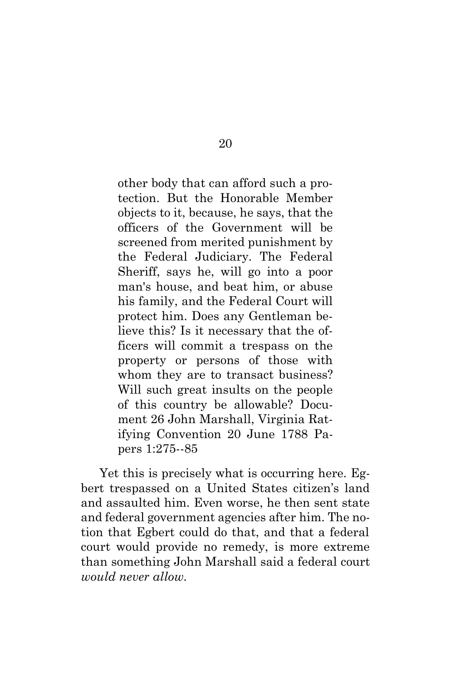other body that can afford such a protection. But the Honorable Member objects to it, because, he says, that the officers of the Government will be screened from merited punishment by the Federal Judiciary. The Federal Sheriff, says he, will go into a poor man's house, and beat him, or abuse his family, and the Federal Court will protect him. Does any Gentleman believe this? Is it necessary that the officers will commit a trespass on the property or persons of those with whom they are to transact business? Will such great insults on the people of this country be allowable? Document 26 John Marshall, Virginia Ratifying Convention 20 June 1788 Papers 1:275--85

Yet this is precisely what is occurring here. Egbert trespassed on a United States citizen's land and assaulted him. Even worse, he then sent state and federal government agencies after him. The notion that Egbert could do that, and that a federal court would provide no remedy, is more extreme than something John Marshall said a federal court *would never allow.*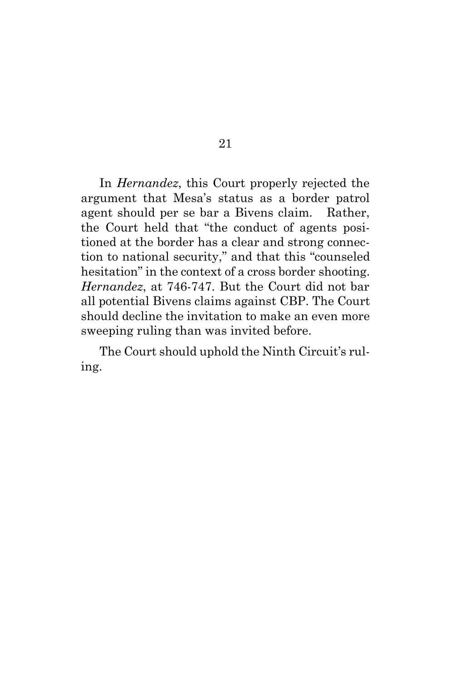In *Hernandez*, this Court properly rejected the argument that Mesa's status as a border patrol agent should per se bar a Bivens claim. Rather, the Court held that "the conduct of agents positioned at the border has a clear and strong connection to national security," and that this "counseled hesitation" in the context of a cross border shooting. *Hernandez*, at 746-747. But the Court did not bar all potential Bivens claims against CBP. The Court should decline the invitation to make an even more sweeping ruling than was invited before.

The Court should uphold the Ninth Circuit's ruling.